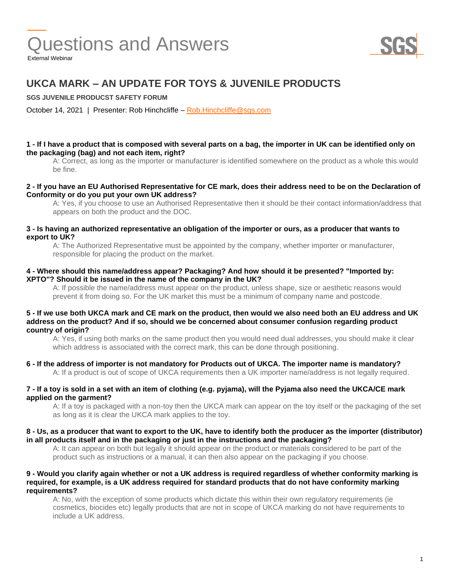

## **UKCA MARK – AN UPDATE FOR TOYS & JUVENILE PRODUCTS**

**SGS JUVENILE PRODUCST SAFETY FORUM**

October 14, 2021 | Presenter: Rob Hinchcliffe – [Rob.Hinchcliffe@sgs.com](mailto:Rob.Hinchcliffe@sgs.com)

#### **1 - If I have a product that is composed with several parts on a bag, the importer in UK can be identified only on the packaging (bag) and not each item, right?**

A: Correct, as long as the importer or manufacturer is identified somewhere on the product as a whole this would be fine.

#### **2 - If you have an EU Authorised Representative for CE mark, does their address need to be on the Declaration of Conformity or do you put your own UK address?**

A: Yes, if you choose to use an Authorised Representative then it should be their contact information/address that appears on both the product and the DOC.

#### **3 - Is having an authorized representative an obligation of the importer or ours, as a producer that wants to export to UK?**

A: The Authorized Representative must be appointed by the company, whether importer or manufacturer, responsible for placing the product on the market.

#### **4 - Where should this name/address appear? Packaging? And how should it be presented? "Imported by: XPTO"? Should it be issued in the name of the company in the UK?**

A: If possible the name/address must appear on the product, unless shape, size or aesthetic reasons would prevent it from doing so. For the UK market this must be a minimum of company name and postcode.

#### **5 - If we use both UKCA mark and CE mark on the product, then would we also need both an EU address and UK address on the product? And if so, should we be concerned about consumer confusion regarding product country of origin?**

A: Yes, if using both marks on the same product then you would need dual addresses, you should make it clear which address is associated with the correct mark, this can be done through positioning.

#### **6 - If the address of importer is not mandatory for Products out of UKCA. The importer name is mandatory?**

A: If a product is out of scope of UKCA requirements then a UK importer name/address is not legally required.

#### **7 - If a toy is sold in a set with an item of clothing (e.g. pyjama), will the Pyjama also need the UKCA/CE mark applied on the garment?**

A: If a toy is packaged with a non-toy then the UKCA mark can appear on the toy itself or the packaging of the set as long as it is clear the UKCA mark applies to the toy.

#### **8 - Us, as a producer that want to export to the UK, have to identify both the producer as the importer (distributor) in all products itself and in the packaging or just in the instructions and the packaging?**

A: It can appear on both but legally it should appear on the product or materials considered to be part of the product such as instructions or a manual, it can then also appear on the packaging if you choose.

#### **9 - Would you clarify again whether or not a UK address is required regardless of whether conformity marking is required, for example, is a UK address required for standard products that do not have conformity marking requirements?**

A: No, with the exception of some products which dictate this within their own regulatory requirements (ie cosmetics, biocides etc) legally products that are not in scope of UKCA marking do not have requirements to include a UK address.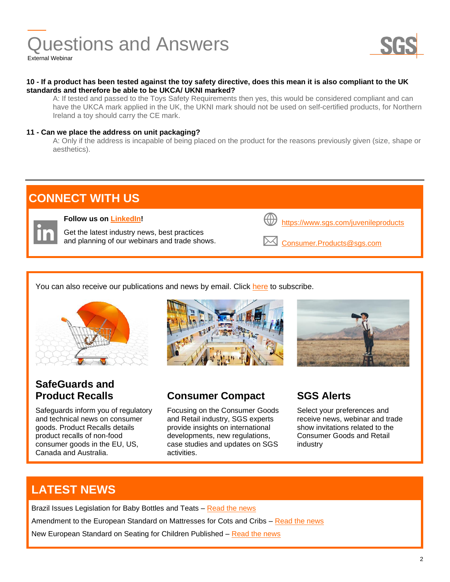

#### **10 - If a product has been tested against the toy safety directive, does this mean it is also compliant to the UK standards and therefore be able to be UKCA/ UKNI marked?**

A: If tested and passed to the Toys Safety Requirements then yes, this would be considered compliant and can have the UKCA mark applied in the UK, the UKNI mark should not be used on self-certified products, for Northern Ireland a toy should carry the CE mark.

### **11 - Can we place the address on unit packaging?**

A: Only if the address is incapable of being placed on the product for the reasons previously given (size, shape or aesthetics).



You can also receive our publications and news by email. Click [here](http://www.sgs.com/subscribe) to subscribe.



# **SafeGuards and**

Safeguards inform you of regulatory and technical news on consumer goods. Product Recalls details product recalls of non-food consumer goods in the EU, US, Canada and Australia.





## **Product Recalls Consumer Compact SGS Alerts**

Focusing on the Consumer Goods and Retail industry, SGS experts provide insights on international developments, new regulations, case studies and updates on SGS activities.

Select your preferences and receive news, webinar and trade show invitations related to the Consumer Goods and Retail industry

## **LATEST NEWS**

Brazil Issues Legislation for Baby Bottles and Teats - [Read the news](https://www.sgs.com/en/news/2021/09/safeguards-12621-brazil-issues-legislation-for-baby-bottles-and-teats?dc=http&lb=) Amendment to the European Standard on Mattresses for Cots and Cribs - [Read the news](https://www.sgs.com/en/news/2021/08/safeguards-11421-amendment-to-the-european-standard-on-mattresses-for-cots-and-cribs?dc=http&lb=)

New European Standard on Seating for Children Published – [Read the news](https://www.sgs.com/en/news/2021/08/safeguards-11521-new-european-standard-on-seating-for-children-published?dc=http&lb=)